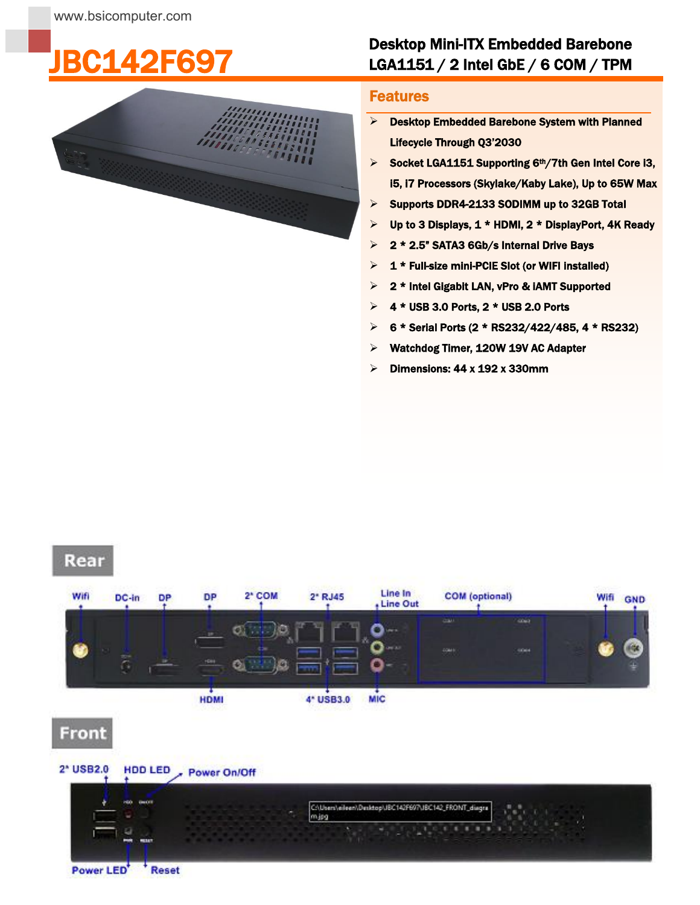## 42F697



## Desktop Mini-ITX Embedded Barebone LGA1151 / 2 Intel GbE / 6 COM / TPM

## į **Features**

- $\triangleright$  Desktop Embedded Barebone System with Planned Lifecycle Through Q3'2030
- $\triangleright$  Socket LGA1151 Supporting 6th/7th Gen Intel Core i3, i5, i7 Processors (Skylake/Kaby Lake), Up to 65W Max
- $\triangleright$  Supports DDR4-2133 SODIMM up to 32GB Total
- $\triangleright$  Up to 3 Displays, 1 \* HDMI, 2 \* DisplayPort, 4K Ready
- **2 \* 2.5" SATA3 6Gb/s Internal Drive Bays**
- $\geq 1$  \* Full-size mini-PCIE Slot (or WIFI installed)
- $\geq$  2 \* Intel Gigabit LAN, vPro & IAMT Supported
- $\triangleright$  4 \* USB 3.0 Ports, 2 \* USB 2.0 Ports
- $\triangleright$  6 \* Serial Ports (2 \* RS232/422/485, 4 \* RS232)
- Watchdog Timer, 120W 19V AC Adapter
- $\triangleright$  Dimensions: 44 x 192 x 330mm

## Rear